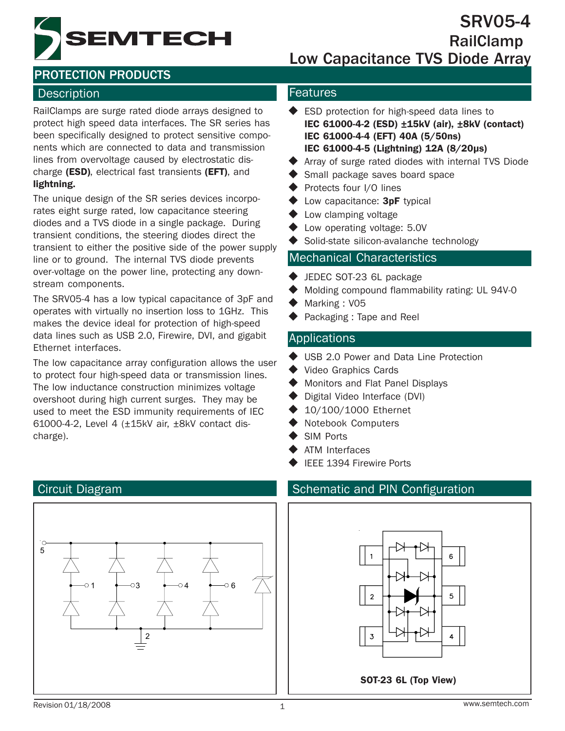EMTECH

SRV05-4 RailClamp Low Capacitance TVS Diode Array

# PROTECTION PRODUCTS

#### Description **Features**

RailClamps are surge rated diode arrays designed to protect high speed data interfaces. The SR series has been specifically designed to protect sensitive components which are connected to data and transmission lines from overvoltage caused by electrostatic discharge (ESD), electrical fast transients (EFT), and lightning.

The unique design of the SR series devices incorporates eight surge rated, low capacitance steering diodes and a TVS diode in a single package. During transient conditions, the steering diodes direct the transient to either the positive side of the power supply line or to ground. The internal TVS diode prevents over-voltage on the power line, protecting any downstream components.

The SRV05-4 has a low typical capacitance of 3pF and operates with virtually no insertion loss to 1GHz. This makes the device ideal for protection of high-speed data lines such as USB 2.0, Firewire, DVI, and gigabit Ethernet interfaces.

The low capacitance array configuration allows the user to protect four high-speed data or transmission lines. The low inductance construction minimizes voltage overshoot during high current surges. They may be used to meet the ESD immunity requirements of IEC 61000-4-2, Level 4 (±15kV air, ±8kV contact discharge).

- ◆ ESD protection for high-speed data lines to IEC 61000-4-2 (ESD) ±15kV (air), ±8kV (contact) IEC 61000-4-4 (EFT) 40A (5/50ns) IEC 61000-4-5 (Lightning) 12A (8/20µs)
- Array of surge rated diodes with internal TVS Diode
- Small package saves board space
- Protects four I/O lines
- $\blacklozenge$  Low capacitance: 3pF typical
- **►** Low clamping voltage
- ◆ Low operating voltage: 5.0V
- ◆ Solid-state silicon-avalanche technology

#### Mechanical Characteristics

- ◆ JEDEC SOT-23 6L package
- ◆ Molding compound flammability rating: UL 94V-0
- Marking : V05
- Packaging : Tape and Reel

#### Applications

- ◆ USB 2.0 Power and Data Line Protection
- ◆ Video Graphics Cards
- ◆ Monitors and Flat Panel Displays
- ◆ Digital Video Interface (DVI)
- 10/100/1000 Ethernet
- Notebook Computers
- SIM Ports
- ATM Interfaces
- IEEE 1394 Firewire Ports

### Circuit Diagram Schematic and PIN Configuration





#### Revision 01/18/2008

5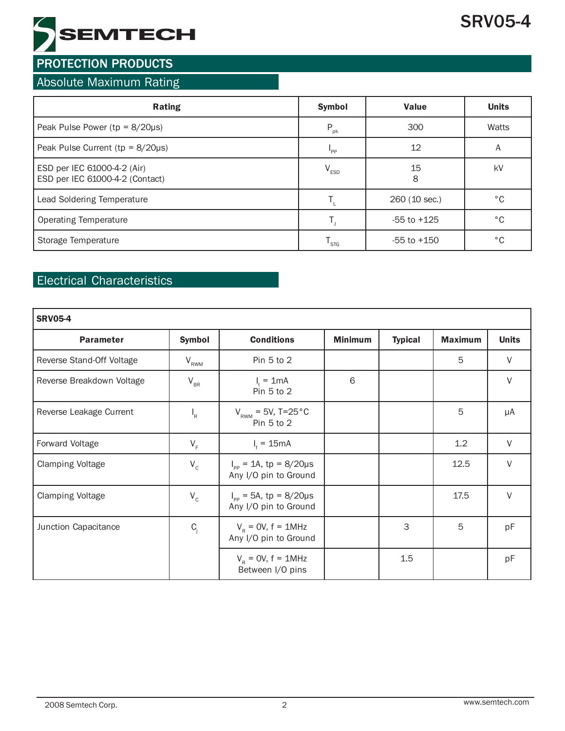

#### Absolute Maximum Rating

| <b>Rating</b>                                                  | <b>Symbol</b>               | <b>Value</b>    | <b>Units</b> |
|----------------------------------------------------------------|-----------------------------|-----------------|--------------|
| Peak Pulse Power ( $tp = 8/20\mu s$ )                          | $P_{\rm pk}$                | 300             | Watts        |
| Peak Pulse Current ( $tp = 8/20\mu s$ )                        | $P_{PP}$                    | 12              | A            |
| ESD per IEC 61000-4-2 (Air)<br>ESD per IEC 61000-4-2 (Contact) | $V_{ESD}$                   | 15<br>8         | kV           |
| Lead Soldering Temperature                                     |                             | 260 (10 sec.)   | °C           |
| Operating Temperature                                          |                             | $-55$ to $+125$ | °C           |
| Storage Temperature                                            | $\mathsf{T}_{\mathsf{STG}}$ | $-55$ to $+150$ | °C           |

## Electrical Characteristics

| <b>SRV05-4</b>                    |                           |                                                               |                |                |                |              |  |  |
|-----------------------------------|---------------------------|---------------------------------------------------------------|----------------|----------------|----------------|--------------|--|--|
| <b>Symbol</b><br><b>Parameter</b> |                           | <b>Conditions</b>                                             | <b>Minimum</b> | <b>Typical</b> | <b>Maximum</b> | <b>Units</b> |  |  |
| Reverse Stand-Off Voltage         | $V_{RWM}$                 | Pin 5 to 2                                                    |                |                | 5              | $\vee$       |  |  |
| Reverse Breakdown Voltage         | $V_{BR}$                  | $I_t = 1$ mA<br>Pin 5 to 2                                    | 6              |                |                | V            |  |  |
| Reverse Leakage Current           | $\mathsf{I}_{\mathsf{R}}$ | $V_{\text{\tiny{RWM}}}$ = 5V, T=25 $^{\circ}$ C<br>Pin 5 to 2 |                |                | 5              | μA           |  |  |
| Forward Voltage                   | $V_F$                     | $I_t = 15mA$                                                  |                |                | 1.2            | V            |  |  |
| <b>Clamping Voltage</b>           | $V_c$                     | $I_{\text{pp}} = 1$ A, tp = 8/20µs<br>Any I/O pin to Ground   |                |                | 12.5           | $\vee$       |  |  |
| <b>Clamping Voltage</b>           | $\mathsf{V}_{\rm c}$      | $I_{\text{pp}}$ = 5A, tp = 8/20µs<br>Any I/O pin to Ground    |                |                | 17.5           | V            |  |  |
| Junction Capacitance              | $C_i$                     | $VR = 0V$ , f = 1MHz<br>Any I/O pin to Ground                 |                | 3              | 5              | pF           |  |  |
|                                   |                           | $V_R$ = OV, f = 1MHz<br>Between I/O pins                      |                | 1.5            |                | pF           |  |  |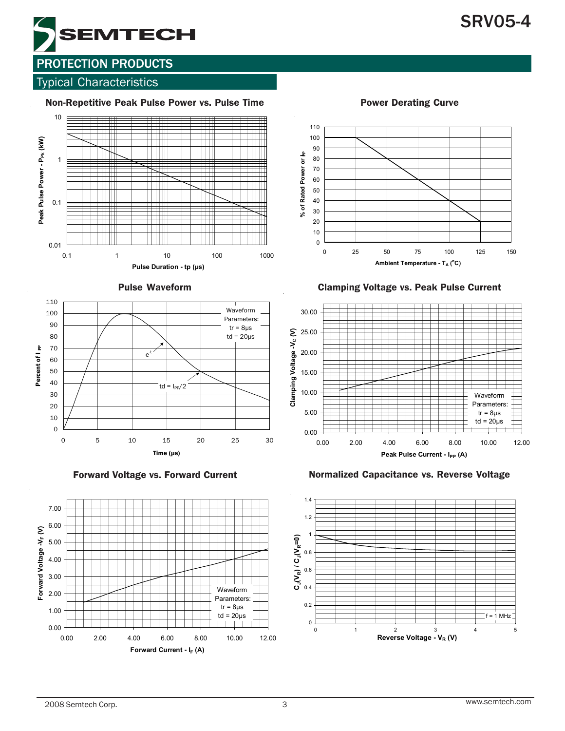# SRV05-4



# PROTECTION PRODUCTS

#### Typical Characteristics













Pulse Waveform Clamping Voltage vs. Peak Pulse Current



Forward Voltage vs. Forward Current Normalized Capacitance vs. Reverse Voltage

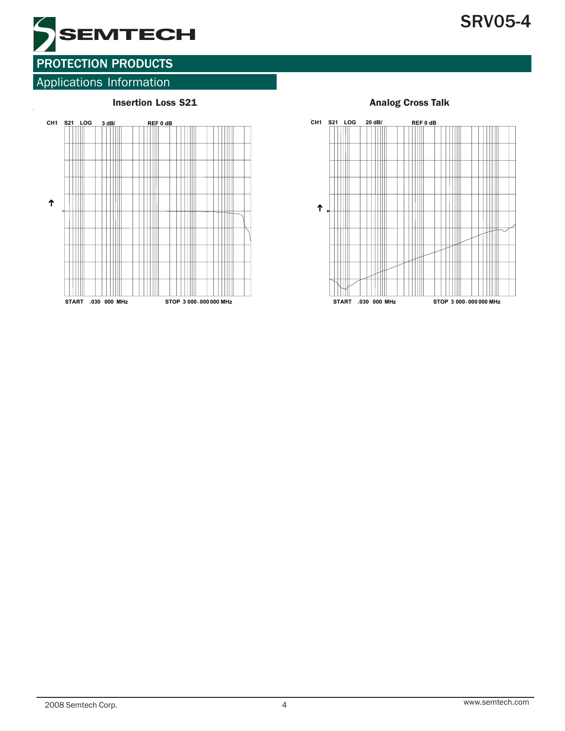



# Applications Information





#### 2008 Semtech Corp. 4 www.semtech.com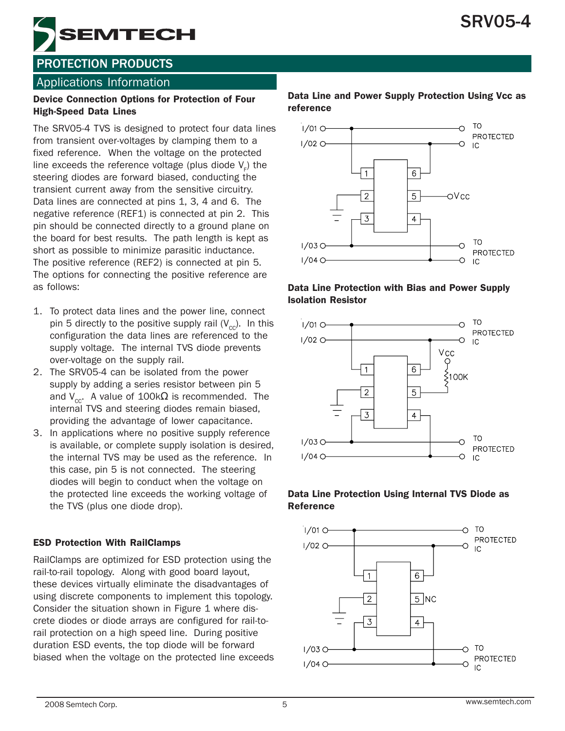

### Applications Information

#### Device Connection Options for Protection of Four High-Speed Data Lines

The SRV05-4 TVS is designed to protect four data lines from transient over-voltages by clamping them to a fixed reference. When the voltage on the protected line exceeds the reference voltage (plus diode  $\mathsf{V}_{_{\mathsf{F}}})$  the steering diodes are forward biased, conducting the transient current away from the sensitive circuitry. Data lines are connected at pins 1, 3, 4 and 6. The negative reference (REF1) is connected at pin 2. This pin should be connected directly to a ground plane on the board for best results. The path length is kept as short as possible to minimize parasitic inductance. The positive reference (REF2) is connected at pin 5. The options for connecting the positive reference are as follows:

- 1. To protect data lines and the power line, connect pin 5 directly to the positive supply rail  $(V_{cc})$ . In this configuration the data lines are referenced to the supply voltage. The internal TVS diode prevents over-voltage on the supply rail.
- 2. The SRV05-4 can be isolated from the power supply by adding a series resistor between pin 5 and  $V_{\text{cc}}$ . A value of 100k $\Omega$  is recommended. The internal TVS and steering diodes remain biased, providing the advantage of lower capacitance.
- 3. In applications where no positive supply reference is available, or complete supply isolation is desired, the internal TVS may be used as the reference. In this case, pin 5 is not connected. The steering diodes will begin to conduct when the voltage on the protected line exceeds the working voltage of the TVS (plus one diode drop).

#### ESD Protection With RailClamps

RailClamps are optimized for ESD protection using the rail-to-rail topology. Along with good board layout, these devices virtually eliminate the disadvantages of using discrete components to implement this topology. Consider the situation shown in Figure 1 where discrete diodes or diode arrays are configured for rail-torail protection on a high speed line. During positive duration ESD events, the top diode will be forward biased when the voltage on the protected line exceeds

#### Data Line and Power Supply Protection Using Vcc as reference



#### Data Line Protection with Bias and Power Supply Isolation Resistor



#### Data Line Protection Using Internal TVS Diode as Reference

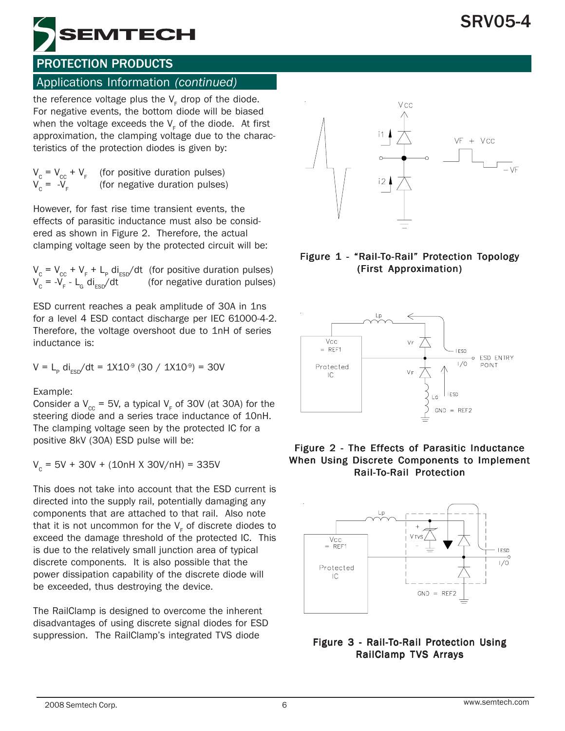

# Applications Information *(continued)*

the reference voltage plus the  $\mathsf{V}_{_{\mathsf{F}}}$  drop of the diode. For negative events, the bottom diode will be biased when the voltage exceeds the  $\mathsf{V}_{_{\mathsf{F}}}$  of the diode.  $\,$  At first approximation, the clamping voltage due to the characteristics of the protection diodes is given by:

$$
V_c = V_{cc} + V_F
$$
 (for positive duration pulses)  
 
$$
V_c = -V_F
$$
 (for negative duration pulses)

However, for fast rise time transient events, the effects of parasitic inductance must also be considered as shown in Figure 2. Therefore, the actual clamping voltage seen by the protected circuit will be:

 $V_c = V_{cc} + V_F + L_p \text{ di}_{ESD}/\text{dt}$  (for positive duration pulses)  $V_c = -V_F - L_G \, di_{ESD}/dt$  (for negative duration pulses)

ESD current reaches a peak amplitude of 30A in 1ns for a level 4 ESD contact discharge per IEC 61000-4-2. Therefore, the voltage overshoot due to 1nH of series inductance is:

$$
V = L_p \text{ di}_{ESD}/dt = 1X10^{\circ} (30 / 1X10^{\circ}) = 30V
$$

Example:

Consider a V<sub>cc</sub> = 5V, a typical V<sub>F</sub> of 30V (at 30A) for the steering diode and a series trace inductance of 10nH. The clamping voltage seen by the protected IC for a positive 8kV (30A) ESD pulse will be:

 $V_c = 5V + 30V + (10nH X 30V/nH) = 335V$ 

This does not take into account that the ESD current is directed into the supply rail, potentially damaging any components that are attached to that rail. Also note that it is not uncommon for the  $\mathsf{V}_\mathsf{F}$  of discrete diodes to exceed the damage threshold of the protected IC. This is due to the relatively small junction area of typical discrete components. It is also possible that the power dissipation capability of the discrete diode will be exceeded, thus destroying the device.

The RailClamp is designed to overcome the inherent disadvantages of using discrete signal diodes for ESD suppression. The RailClamp's integrated TVS diode



#### Figure 1 - "Rail-To-Rail" Protection Topology (First Approximation) (First Approximation)



#### Figure 2 - The Effects of Parasitic Inductance When Using Discrete Components to Implement Rail-To-Rail Protection



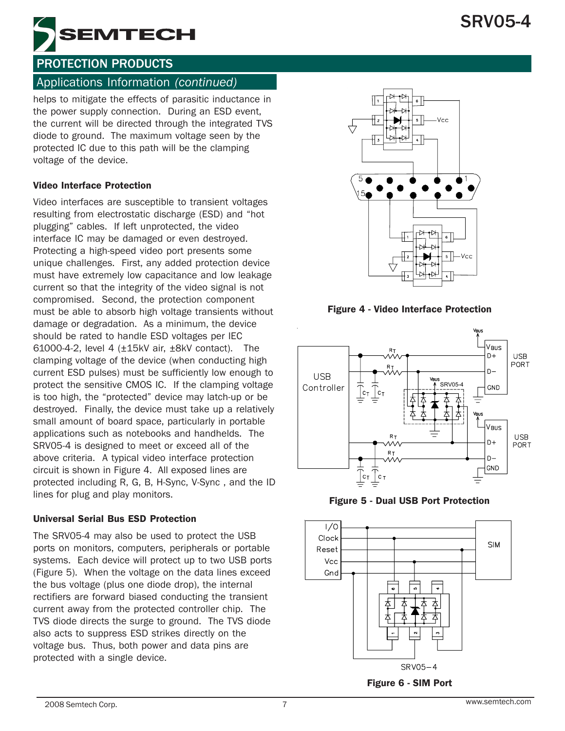



#### Applications Information *(continued)*

helps to mitigate the effects of parasitic inductance in the power supply connection. During an ESD event, the current will be directed through the integrated TVS diode to ground. The maximum voltage seen by the protected IC due to this path will be the clamping voltage of the device.

#### Video Interface Protection

Video interfaces are susceptible to transient voltages resulting from electrostatic discharge (ESD) and "hot plugging" cables. If left unprotected, the video interface IC may be damaged or even destroyed. Protecting a high-speed video port presents some unique challenges. First, any added protection device must have extremely low capacitance and low leakage current so that the integrity of the video signal is not compromised. Second, the protection component must be able to absorb high voltage transients without damage or degradation. As a minimum, the device should be rated to handle ESD voltages per IEC 61000-4-2, level 4 (±15kV air, ±8kV contact). The clamping voltage of the device (when conducting high current ESD pulses) must be sufficiently low enough to protect the sensitive CMOS IC. If the clamping voltage is too high, the "protected" device may latch-up or be destroyed. Finally, the device must take up a relatively small amount of board space, particularly in portable applications such as notebooks and handhelds. The SRV05-4 is designed to meet or exceed all of the above criteria. A typical video interface protection circuit is shown in Figure 4. All exposed lines are protected including R, G, B, H-Sync, V-Sync , and the ID lines for plug and play monitors.

#### Universal Serial Bus ESD Protection

The SRV05-4 may also be used to protect the USB ports on monitors, computers, peripherals or portable systems. Each device will protect up to two USB ports (Figure 5). When the voltage on the data lines exceed the bus voltage (plus one diode drop), the internal rectifiers are forward biased conducting the transient current away from the protected controller chip. The TVS diode directs the surge to ground. The TVS diode also acts to suppress ESD strikes directly on the voltage bus. Thus, both power and data pins are protected with a single device.



Figure 4 - Video Interface Protection



Figure 5 - Dual USB Port Protection



Figure 6 - SIM Port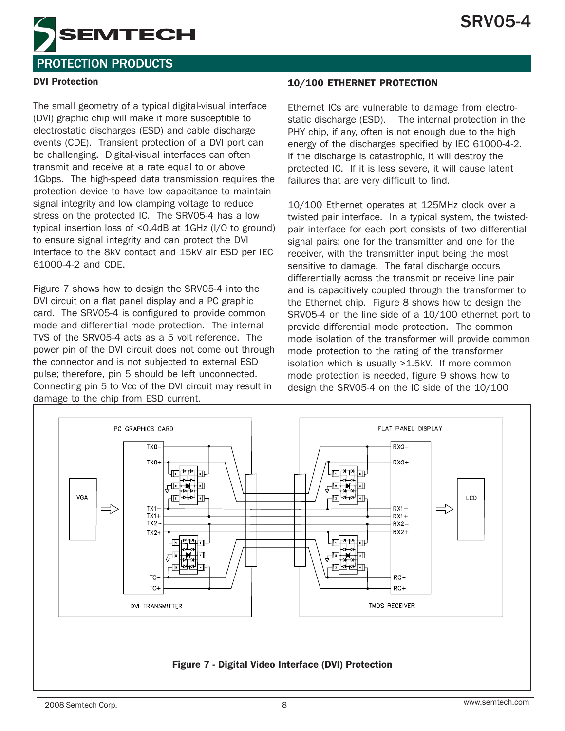

#### DVI Protection

The small geometry of a typical digital-visual interface (DVI) graphic chip will make it more susceptible to electrostatic discharges (ESD) and cable discharge events (CDE). Transient protection of a DVI port can be challenging. Digital-visual interfaces can often transmit and receive at a rate equal to or above 1Gbps. The high-speed data transmission requires the protection device to have low capacitance to maintain signal integrity and low clamping voltage to reduce stress on the protected IC. The SRV05-4 has a low typical insertion loss of <0.4dB at 1GHz (I/O to ground) to ensure signal integrity and can protect the DVI interface to the 8kV contact and 15kV air ESD per IEC 61000-4-2 and CDE.

Figure 7 shows how to design the SRV05-4 into the DVI circuit on a flat panel display and a PC graphic card. The SRV05-4 is configured to provide common mode and differential mode protection. The internal TVS of the SRV05-4 acts as a 5 volt reference. The power pin of the DVI circuit does not come out through the connector and is not subjected to external ESD pulse; therefore, pin 5 should be left unconnected. Connecting pin 5 to Vcc of the DVI circuit may result in damage to the chip from ESD current.

#### 10/100 ETHERNET PROTECTION

Ethernet ICs are vulnerable to damage from electrostatic discharge (ESD). The internal protection in the PHY chip, if any, often is not enough due to the high energy of the discharges specified by IEC 61000-4-2. If the discharge is catastrophic, it will destroy the protected IC. If it is less severe, it will cause latent failures that are very difficult to find.

10/100 Ethernet operates at 125MHz clock over a twisted pair interface. In a typical system, the twistedpair interface for each port consists of two differential signal pairs: one for the transmitter and one for the receiver, with the transmitter input being the most sensitive to damage. The fatal discharge occurs differentially across the transmit or receive line pair and is capacitively coupled through the transformer to the Ethernet chip. Figure 8 shows how to design the SRV05-4 on the line side of a 10/100 ethernet port to provide differential mode protection. The common mode isolation of the transformer will provide common mode protection to the rating of the transformer isolation which is usually >1.5kV. If more common mode protection is needed, figure 9 shows how to design the SRV05-4 on the IC side of the 10/100



Figure 7 - Digital Video Interface (DVI) Protection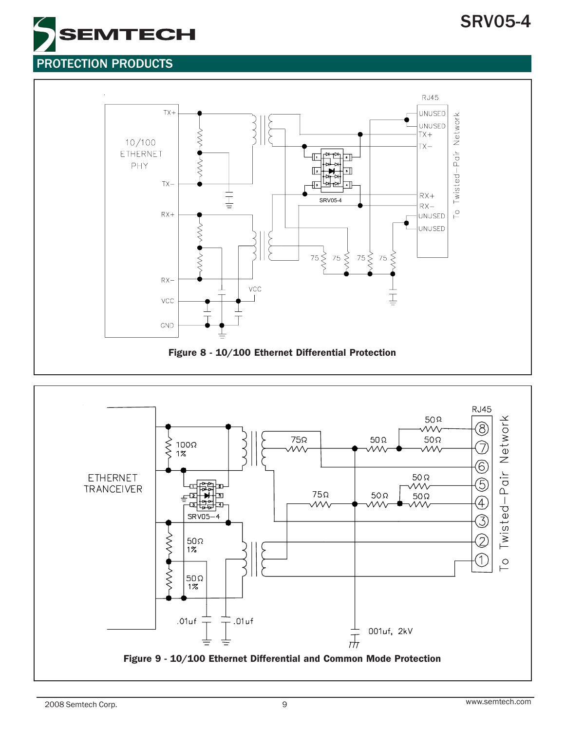# SRV05-4





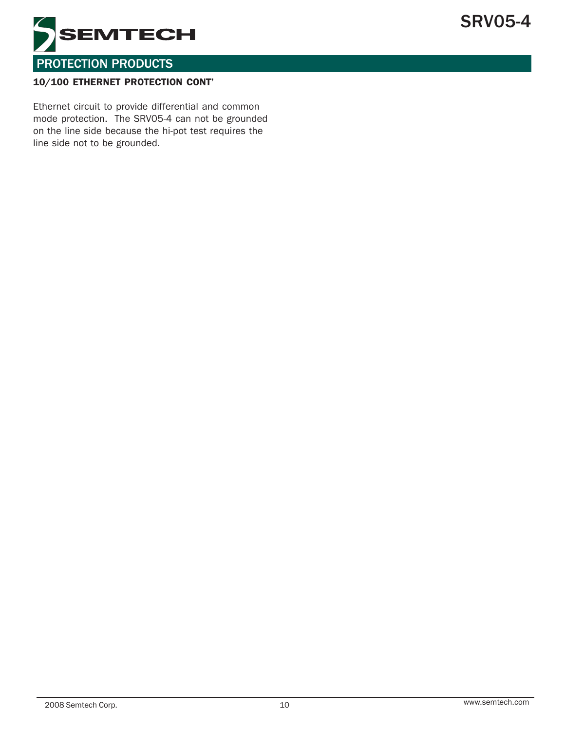

#### 10/100 ETHERNET PROTECTION CONT'

Ethernet circuit to provide differential and common mode protection. The SRV05-4 can not be grounded on the line side because the hi-pot test requires the line side not to be grounded.

SRV05-4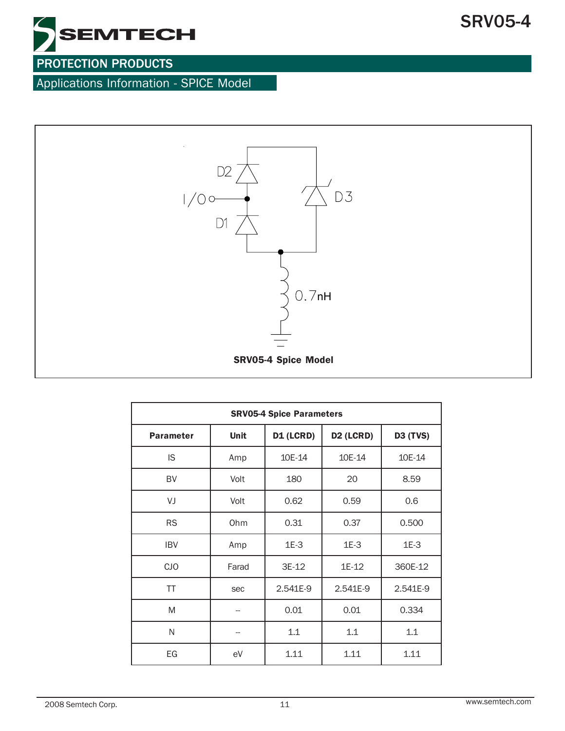

Applications Information - SPICE Model



| <b>SRV05-4 Spice Parameters</b> |             |           |                       |                 |  |  |  |
|---------------------------------|-------------|-----------|-----------------------|-----------------|--|--|--|
| <b>Parameter</b>                | <b>Unit</b> | D1 (LCRD) | D <sub>2</sub> (LCRD) | <b>D3 (TVS)</b> |  |  |  |
| IS.                             | Amp         | 10E-14    | 10E-14                | 10E-14          |  |  |  |
| BV                              | Volt        | 180       | 20                    | 8.59            |  |  |  |
| VJ<br>Volt                      |             | 0.62      | 0.59                  | 0.6             |  |  |  |
| <b>RS</b>                       | Ohm         | 0.31      | 0.37                  | 0.500           |  |  |  |
| <b>IBV</b>                      | Amp         | $1E-3$    | $1E-3$                | $1E-3$          |  |  |  |
| <b>CJO</b>                      | Farad       | 3E-12     | 1E-12                 | 360E-12         |  |  |  |
| ΤT                              | sec         | 2.541E-9  | 2.541E-9              | 2.541E-9        |  |  |  |
| M                               |             | 0.01      | 0.01                  | 0.334           |  |  |  |
| N                               |             | 1.1       | 1.1                   | 1.1             |  |  |  |
| EG                              | eV          | 1.11      | 1.11                  | 1.11            |  |  |  |

SRV05-4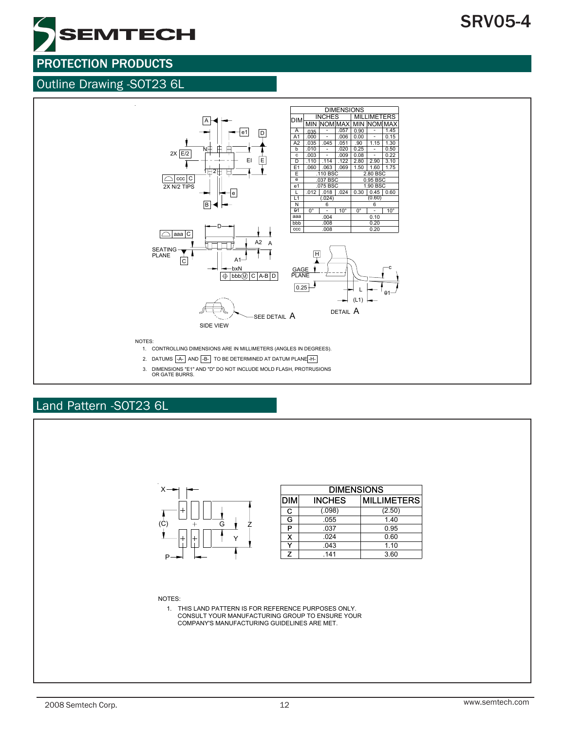

#### Outline Drawing -SOT23 6L



## Land Pattern -SOT23 6L